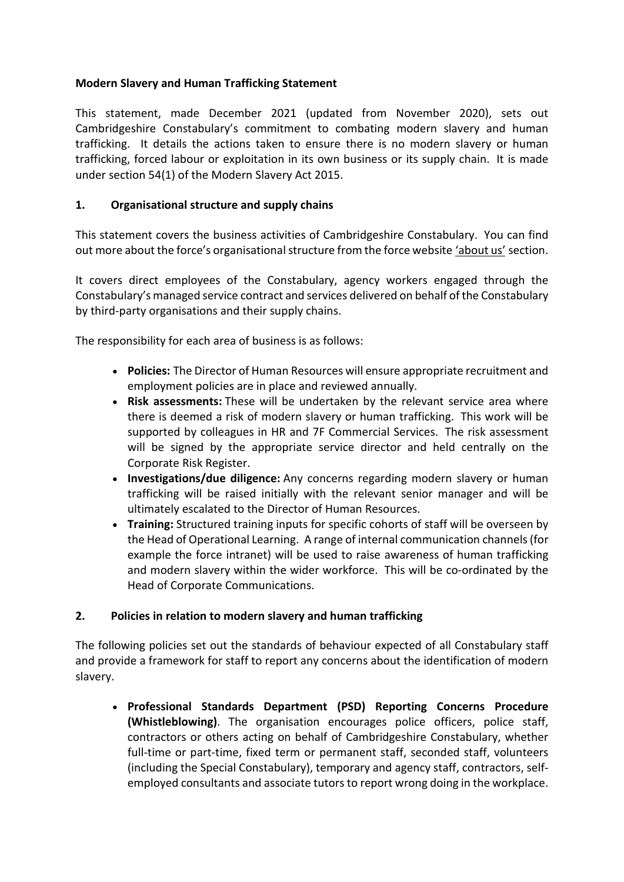## **Modern Slavery and Human Trafficking Statement**

This statement, made December 2021 (updated from November 2020), sets out Cambridgeshire Constabulary's commitment to combating modern slavery and human trafficking. It details the actions taken to ensure there is no modern slavery or human trafficking, forced labour or exploitation in its own business or its supply chain. It is made under section 54(1) of the Modern Slavery Act 2015.

# **1. Organisational structure and supply chains**

This statement covers the business activities of Cambridgeshire Constabulary. You can find out more about the force's organisational structure from the force website ['about us'](https://www.cambs.police.uk/information-and-services/About-us/About-us) section.

It covers direct employees of the Constabulary, agency workers engaged through the Constabulary's managed service contract and services delivered on behalf of the Constabulary by third-party organisations and their supply chains.

The responsibility for each area of business is as follows:

- **Policies:** The Director of Human Resources will ensure appropriate recruitment and employment policies are in place and reviewed annually.
- **Risk assessments:** These will be undertaken by the relevant service area where there is deemed a risk of modern slavery or human trafficking. This work will be supported by colleagues in HR and 7F Commercial Services. The risk assessment will be signed by the appropriate service director and held centrally on the Corporate Risk Register.
- **Investigations/due diligence:** Any concerns regarding modern slavery or human trafficking will be raised initially with the relevant senior manager and will be ultimately escalated to the Director of Human Resources.
- **Training:** Structured training inputs for specific cohorts of staff will be overseen by the Head of Operational Learning. A range of internal communication channels (for example the force intranet) will be used to raise awareness of human trafficking and modern slavery within the wider workforce. This will be co-ordinated by the Head of Corporate Communications.

## **2. Policies in relation to modern slavery and human trafficking**

The following policies set out the standards of behaviour expected of all Constabulary staff and provide a framework for staff to report any concerns about the identification of modern slavery.

• **Professional Standards Department (PSD) Reporting Concerns Procedure (Whistleblowing)**. The organisation encourages police officers, police staff, contractors or others acting on behalf of Cambridgeshire Constabulary, whether full-time or part-time, fixed term or permanent staff, seconded staff, volunteers (including the Special Constabulary), temporary and agency staff, contractors, selfemployed consultants and associate tutors to report wrong doing in the workplace.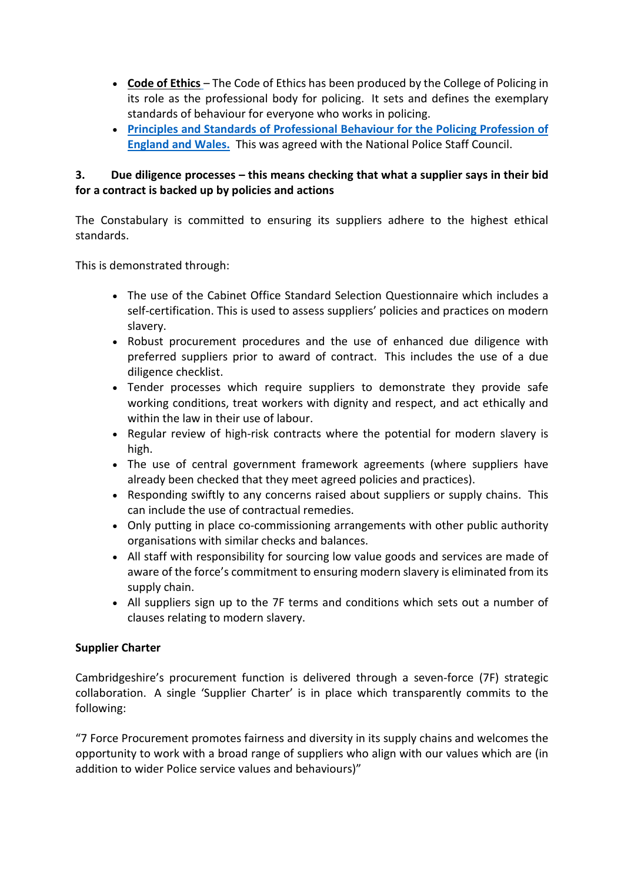- **[Code of Ethics](https://www.college.police.uk/ethics/code-of-ethics)** The Code of Ethics has been produced by the College of Policing in its role as the professional body for policing. It sets and defines the exemplary standards of behaviour for everyone who works in policing.
- **[Principles and Standards of Professional Behaviour for the Policing Profession of](https://www.legislation.gov.uk/uksi/2020/4/made)  [England and Wales.](https://www.legislation.gov.uk/uksi/2020/4/made)** This was agreed with the National Police Staff Council.

## **3. Due diligence processes – this means checking that what a supplier says in their bid for a contract is backed up by policies and actions**

The Constabulary is committed to ensuring its suppliers adhere to the highest ethical standards.

This is demonstrated through:

- The use of the Cabinet Office Standard Selection Questionnaire which includes a self-certification. This is used to assess suppliers' policies and practices on modern slavery.
- Robust procurement procedures and the use of enhanced due diligence with preferred suppliers prior to award of contract. This includes the use of a due diligence checklist.
- Tender processes which require suppliers to demonstrate they provide safe working conditions, treat workers with dignity and respect, and act ethically and within the law in their use of labour.
- Regular review of high-risk contracts where the potential for modern slavery is high.
- The use of central government framework agreements (where suppliers have already been checked that they meet agreed policies and practices).
- Responding swiftly to any concerns raised about suppliers or supply chains. This can include the use of contractual remedies.
- Only putting in place co-commissioning arrangements with other public authority organisations with similar checks and balances.
- All staff with responsibility for sourcing low value goods and services are made of aware of the force's commitment to ensuring modern slavery is eliminated from its supply chain.
- All suppliers sign up to the 7F terms and conditions which sets out a number of clauses relating to modern slavery.

## **Supplier Charter**

Cambridgeshire's procurement function is delivered through a seven-force (7F) strategic collaboration. A single 'Supplier Charter' is in place which transparently commits to the following:

"7 Force Procurement promotes fairness and diversity in its supply chains and welcomes the opportunity to work with a broad range of suppliers who align with our values which are (in addition to wider Police service values and behaviours)"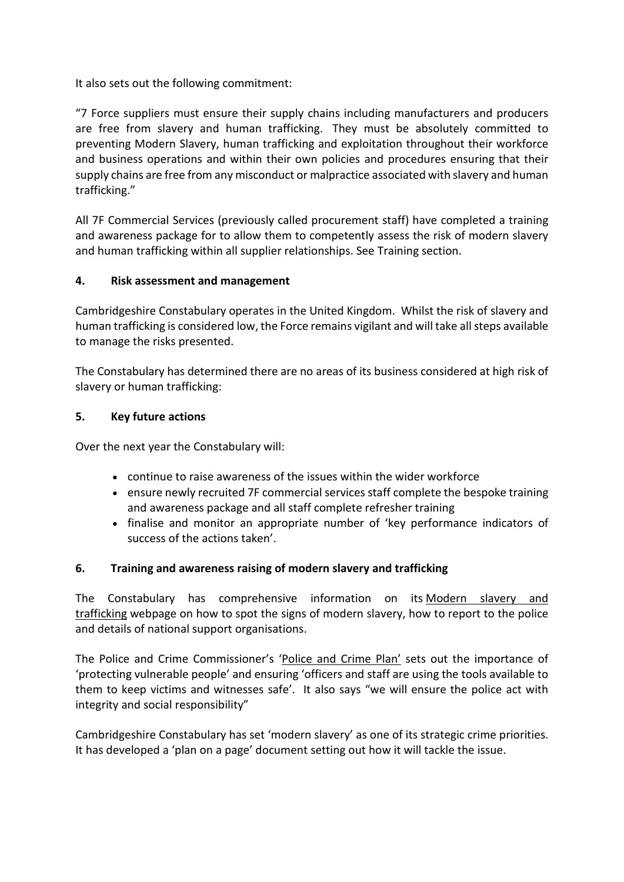It also sets out the following commitment:

"7 Force suppliers must ensure their supply chains including manufacturers and producers are free from slavery and human trafficking. They must be absolutely committed to preventing Modern Slavery, human trafficking and exploitation throughout their workforce and business operations and within their own policies and procedures ensuring that their supply chains are free from any misconduct or malpractice associated with slavery and human trafficking."

All 7F Commercial Services (previously called procurement staff) have completed a training and awareness package for to allow them to competently assess the risk of modern slavery and human trafficking within all supplier relationships. See Training section.

## **4. Risk assessment and management**

Cambridgeshire Constabulary operates in the United Kingdom. Whilst the risk of slavery and human trafficking is considered low, the Force remains vigilant and will take all steps available to manage the risks presented.

The Constabulary has determined there are no areas of its business considered at high risk of slavery or human trafficking:

## **5. Key future actions**

Over the next year the Constabulary will:

- continue to raise awareness of the issues within the wider workforce
- ensure newly recruited 7F commercial services staff complete the bespoke training and awareness package and all staff complete refresher training
- finalise and monitor an appropriate number of 'key performance indicators of success of the actions taken'.

# **6. Training and awareness raising of modern slavery and trafficking**

The Constabulary has comprehensive information on its [Modern slavery and](https://www.cambs.police.uk/information-and-services/Modern-slavery/Modern-slavery-and-trafficking)  [trafficking](https://www.cambs.police.uk/information-and-services/Modern-slavery/Modern-slavery-and-trafficking) webpage on how to spot the signs of modern slavery, how to report to the police and details of national support organisations.

The Police and Crime Commissioner's ['Police and Crime Plan'](https://www.cambridgeshire-pcc.gov.uk/police-crime-plan/) sets out the importance of 'protecting vulnerable people' and ensuring 'officers and staff are using the tools available to them to keep victims and witnesses safe'. It also says "we will ensure the police act with integrity and social responsibility"

Cambridgeshire Constabulary has set 'modern slavery' as one of its strategic crime priorities. It has developed a 'plan on a page' document setting out how it will tackle the issue.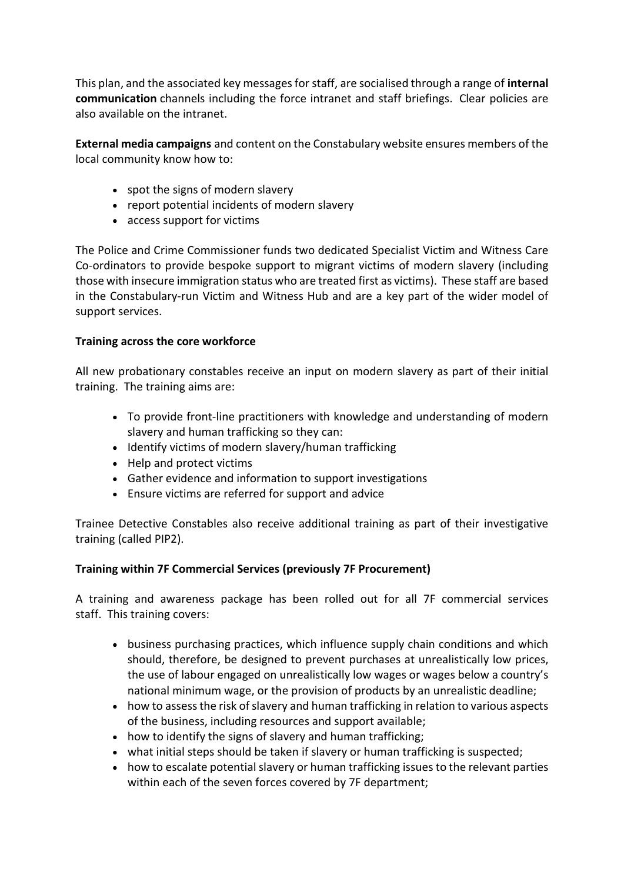This plan, and the associated key messages for staff, are socialised through a range of **internal communication** channels including the force intranet and staff briefings. Clear policies are also available on the intranet.

**External media campaigns** and content on the Constabulary website ensures members of the local community know how to:

- spot the signs of modern slavery
- report potential incidents of modern slavery
- access support for victims

The Police and Crime Commissioner funds two dedicated Specialist Victim and Witness Care Co-ordinators to provide bespoke support to migrant victims of modern slavery (including those with insecure immigration status who are treated first as victims). These staff are based in the Constabulary-run Victim and Witness Hub and are a key part of the wider model of support services.

## **Training across the core workforce**

All new probationary constables receive an input on modern slavery as part of their initial training. The training aims are:

- To provide front-line practitioners with knowledge and understanding of modern slavery and human trafficking so they can:
- Identify victims of modern slavery/human trafficking
- Help and protect victims
- Gather evidence and information to support investigations
- Ensure victims are referred for support and advice

Trainee Detective Constables also receive additional training as part of their investigative training (called PIP2).

## **Training within 7F Commercial Services (previously 7F Procurement)**

A training and awareness package has been rolled out for all 7F commercial services staff. This training covers:

- business purchasing practices, which influence supply chain conditions and which should, therefore, be designed to prevent purchases at unrealistically low prices, the use of labour engaged on unrealistically low wages or wages below a country's national minimum wage, or the provision of products by an unrealistic deadline;
- how to assess the risk of slavery and human trafficking in relation to various aspects of the business, including resources and support available;
- how to identify the signs of slavery and human trafficking;
- what initial steps should be taken if slavery or human trafficking is suspected;
- how to escalate potential slavery or human trafficking issues to the relevant parties within each of the seven forces covered by 7F department;